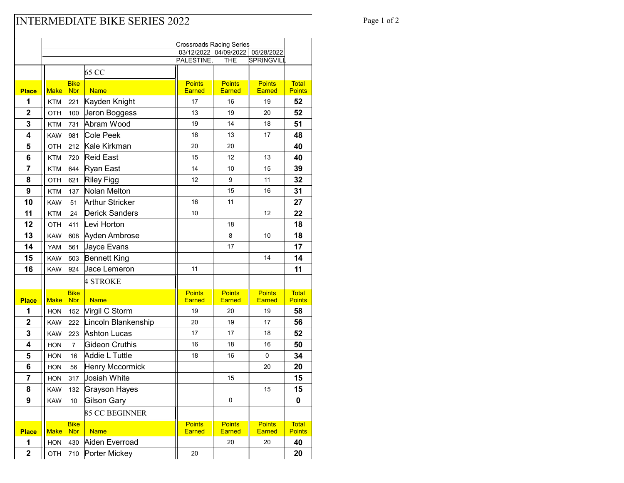## INTERMEDIATE BIKE SERIES 2022 Page 1 of 2

|                         | <b>Crossroads Racing Series</b> |                           |                     |                                |                                     |                                |                               |
|-------------------------|---------------------------------|---------------------------|---------------------|--------------------------------|-------------------------------------|--------------------------------|-------------------------------|
|                         |                                 |                           |                     | PALESTINE.                     | 03/12/2022 04/09/2022<br><b>THE</b> | 05/28/2022<br>SPRINGVILL       |                               |
|                         |                                 |                           |                     |                                |                                     |                                |                               |
|                         |                                 |                           | 65 CC               |                                |                                     |                                |                               |
| <b>Place</b>            | <b>Make</b>                     | <b>Bike</b><br><b>Nbr</b> | <b>Name</b>         | <b>Points</b><br><b>Earned</b> | <b>Points</b><br>Earned             | <b>Points</b><br><b>Earned</b> | <b>Total</b><br><b>Points</b> |
| 1                       | <b>KTM</b>                      | 221                       | Kayden Knight       | 17                             | 16                                  | 19                             | 52                            |
| $\mathbf 2$             | OTH                             | 100                       | Jeron Boggess       | 13                             | 19                                  | 20                             | 52                            |
| 3                       | <b>KTM</b>                      | 731                       | Abram Wood          | 19                             | 14                                  | 18                             | 51                            |
| $\overline{\mathbf{4}}$ | <b>KAW</b>                      | 981                       | Cole Peek           | 18                             | 13                                  | 17                             | 48                            |
| 5                       | OTH                             | 212                       | Kale Kirkman        | 20                             | 20                                  |                                | 40                            |
| 6                       | <b>KTM</b>                      | 720                       | <b>Reid East</b>    | 15                             | 12                                  | 13                             | 40                            |
| 7                       | KTM                             | 644                       | Ryan East           | 14                             | 10                                  | 15                             | 39                            |
| 8                       | OTH                             | 621                       | <b>Riley Figg</b>   | 12                             | 9                                   | 11                             | 32                            |
| 9                       | <b>KTM</b>                      | 137                       | Nolan Melton        |                                | 15                                  | 16                             | 31                            |
| 10                      | <b>KAW</b>                      | 51                        | Arthur Stricker     | 16                             | 11                                  |                                | 27                            |
| 11                      | KTM                             | 24                        | Derick Sanders      | 10                             |                                     | 12                             | 22                            |
| 12                      | OTH                             | 411                       | Levi Horton         |                                | 18                                  |                                | 18                            |
| 13                      | <b>KAW</b>                      | 608                       | Ayden Ambrose       |                                | 8                                   | 10                             | 18                            |
| 14                      | <b>YAM</b>                      | 561                       | Jayce Evans         |                                | 17                                  |                                | 17                            |
| 15                      | <b>KAW</b>                      | 503                       | <b>Bennett King</b> |                                |                                     | 14                             | 14                            |
| 16                      | <b>KAW</b>                      | 924                       | <b>Jace Lemeron</b> | 11                             |                                     |                                | 11                            |
|                         |                                 |                           | <b>4 STROKE</b>     |                                |                                     |                                |                               |
| <b>Place</b>            | <b>Make</b>                     | <b>Bike</b><br><b>Nbr</b> | <b>Name</b>         | <b>Points</b><br><b>Earned</b> | <b>Points</b><br><b>Earned</b>      | <b>Points</b><br><b>Earned</b> | <b>Total</b><br><b>Points</b> |
| 1                       | <b>HON</b>                      | 152                       | Virgil C Storm      | 19                             | 20                                  | 19                             | 58                            |
| $\mathbf 2$             | <b>KAW</b>                      | 222                       | Lincoln Blankenship | 20                             | 19                                  | 17                             | 56                            |
| 3                       | <b>KAW</b>                      | 223                       | <b>Ashton Lucas</b> | 17                             | 17                                  | 18                             | 52                            |
| 4                       | <b>HON</b>                      | $\overline{7}$            | Gideon Cruthis      | 16                             | 18                                  | 16                             | 50                            |
| 5                       | <b>HON</b>                      | 16                        | Addie L Tuttle      | 18                             | 16                                  | 0                              | 34                            |
| 6                       | <b>HON</b>                      | 56                        | Henry Mccormick     |                                |                                     | 20                             | 20                            |
| 7                       | <b>HON</b>                      | 317                       | Josiah White        |                                | 15                                  |                                | 15                            |
| 8                       | <b>KAW</b>                      | 132                       | Grayson Hayes       |                                |                                     | 15                             | 15                            |
| 9                       | KAW                             | 10                        | <b>Gilson Gary</b>  |                                | $\mathbf 0$                         |                                | 0                             |
|                         |                                 |                           | 85 CC BEGINNER      |                                |                                     |                                |                               |
|                         |                                 | <b>Bike</b>               |                     | <b>Points</b>                  | <b>Points</b>                       | <b>Points</b>                  | <b>Total</b>                  |
| <b>Place</b>            | Make                            | <b>Nbr</b>                | <b>Name</b>         | <b>Earned</b>                  | <b>Earned</b>                       | <b>Earned</b>                  | <b>Points</b>                 |
| 1                       | HON                             | 430                       | Aiden Everroad      |                                | 20                                  | 20                             | 40                            |
| $\mathbf 2$             | OTH                             | 710                       | Porter Mickey       | 20                             |                                     |                                | 20                            |